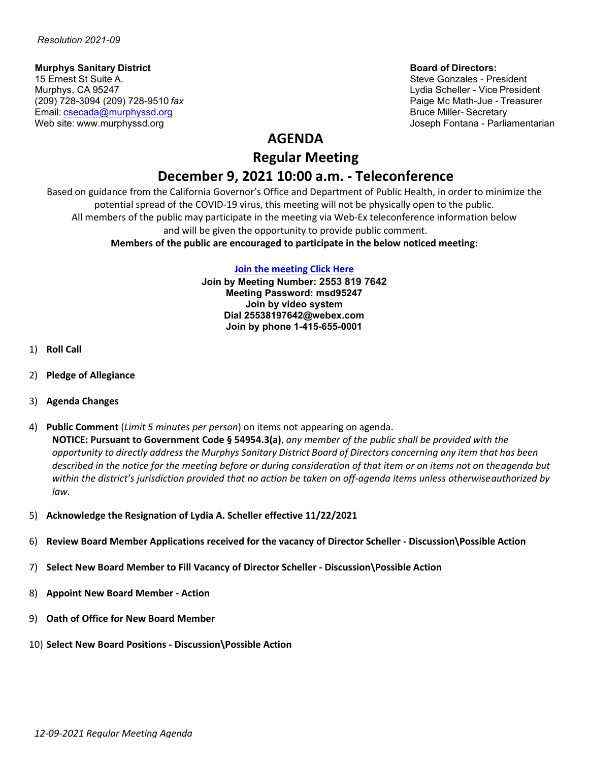# **Murphys Sanitary District Board of Directors:**<br>15 Ernest St Suite A. **Board of Directors:**<br>15 Ernest St Suite A.

15 Ernest St Suite A. Suite A. Suite A. Steve Gonzales - President Archives and Steve Gonzales - President Archives A<br>Steve Gonzales - President Archives Archives Archives Archives Archives Archives Archives Archives Archi (209) 728-3094 (209) 728-9510 *fax* Paige Mc Math-Jue - Treasurer Email: [csecada@murphyssd.org](mailto:csecada@murphyssd.org) Bruce Miller- Secretary and Bruce Miller- Secretary

Lydia Scheller - Vice President Web site: [www.murphyssd.org](http://www.murphyssd.org/) Joseph Fontana - Parliamentarian

## **AGENDA**

**Regular Meeting**

# **December 9, 2021 10:00 a.m. - Teleconference**

Based on guidance from the California Governor's Office and Department of Public Health, in order to minimize the potential spread of the COVID-19 virus, this meeting will not be physically open to the public. All members of the public may participate in the meeting via Web-Ex teleconference information below and will be given the opportunity to provide public comment. **Members of the public are encouraged to participate in the below noticed meeting:**

#### **[Join the meeting](https://murphyssanitarydistrict.my.webex.com/murphyssanitarydistrict.my/j.php?MTID=m0b4071ea8fbc20ff6f4c880cce8211cb) Click Here**

**Join by Meeting Number: 2553 819 7642 Meeting Password: msd95247 Join by video system Dial 25538197642@webex.com Join by phone 1-415-655-0001**

- 1) **Roll Call**
- 2) **Pledge of Allegiance**
- 3) **Agenda Changes**
- 4) **Public Comment** (*Limit 5 minutes per person*) on items not appearing on agenda. **NOTICE: Pursuant to Government Code § 54954.3(a)**, *any member of the public shall be provided with the* opportunity to directly address the Murphys Sanitary District Board of Directors concerning any item that has been *described in the notice for the meeting before or during consideration of that item or on items not on theagenda but within the district's jurisdiction provided that no action be taken on off-agenda items unless otherwiseauthorized by law.*
- 5) **Acknowledge the Resignation of Lydia A. Scheller effective 11/22/2021**
- 6) **Review Board Member Applications received for the vacancy of Director Scheller - Discussion\Possible Action**
- 7) **Select New Board Member to Fill Vacancy of Director Scheller - Discussion\Possible Action**
- 8) **Appoint New Board Member - Action**
- 9) **Oath of Office for New Board Member**
- 10) **Select New Board Positions - Discussion\Possible Action**